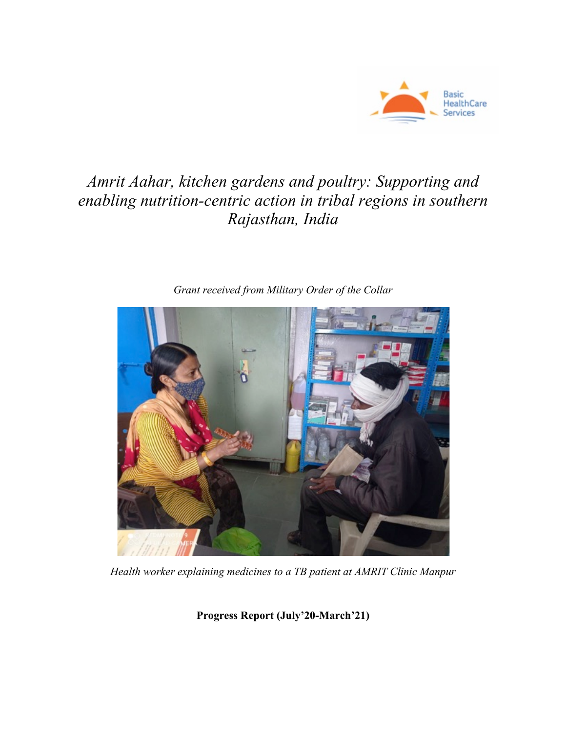

# *Amrit Aahar, kitchen gardens and poultry: Supporting and enabling nutrition-centric action in tribal regions in southern Rajasthan, India*



*Grant received from Military Order of the Collar*

*Health worker explaining medicines to a TB patient at AMRIT Clinic Manpur*

**Progress Report (July'20-March'21)**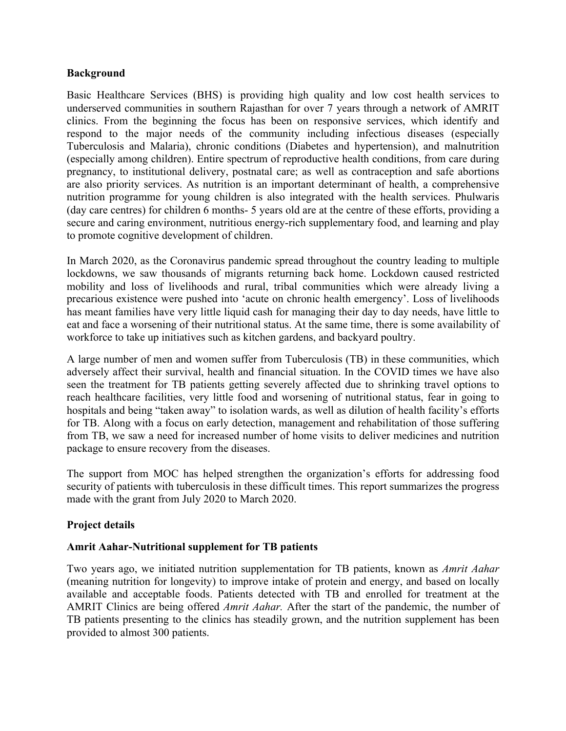### **Background**

Basic Healthcare Services (BHS) is providing high quality and low cost health services to underserved communities in southern Rajasthan for over 7 years through a network of AMRIT clinics. From the beginning the focus has been on responsive services, which identify and respond to the major needs of the community including infectious diseases (especially Tuberculosis and Malaria), chronic conditions (Diabetes and hypertension), and malnutrition (especially among children). Entire spectrum of reproductive health conditions, from care during pregnancy, to institutional delivery, postnatal care; as well as contraception and safe abortions are also priority services. As nutrition is an important determinant of health, a comprehensive nutrition programme for young children is also integrated with the health services. Phulwaris (day care centres) for children 6 months- 5 years old are at the centre of these efforts, providing a secure and caring environment, nutritious energy-rich supplementary food, and learning and play to promote cognitive development of children.

In March 2020, as the Coronavirus pandemic spread throughout the country leading to multiple lockdowns, we saw thousands of migrants returning back home. Lockdown caused restricted mobility and loss of livelihoods and rural, tribal communities which were already living a precarious existence were pushed into 'acute on chronic health emergency'. Loss of livelihoods has meant families have very little liquid cash for managing their day to day needs, have little to eat and face a worsening of their nutritional status. At the same time, there is some availability of workforce to take up initiatives such as kitchen gardens, and backyard poultry.

A large number of men and women suffer from Tuberculosis (TB) in these communities, which adversely affect their survival, health and financial situation. In the COVID times we have also seen the treatment for TB patients getting severely affected due to shrinking travel options to reach healthcare facilities, very little food and worsening of nutritional status, fear in going to hospitals and being "taken away" to isolation wards, as well as dilution of health facility's efforts for TB. Along with a focus on early detection, management and rehabilitation of those suffering from TB, we saw a need for increased number of home visits to deliver medicines and nutrition package to ensure recovery from the diseases.

The support from MOC has helped strengthen the organization's efforts for addressing food security of patients with tuberculosis in these difficult times. This report summarizes the progress made with the grant from July 2020 to March 2020.

# **Project details**

# **Amrit Aahar-Nutritional supplement for TB patients**

Two years ago, we initiated nutrition supplementation for TB patients, known as *Amrit Aahar* (meaning nutrition for longevity) to improve intake of protein and energy, and based on locally available and acceptable foods. Patients detected with TB and enrolled for treatment at the AMRIT Clinics are being offered *Amrit Aahar.* After the start of the pandemic, the number of TB patients presenting to the clinics has steadily grown, and the nutrition supplement has been provided to almost 300 patients.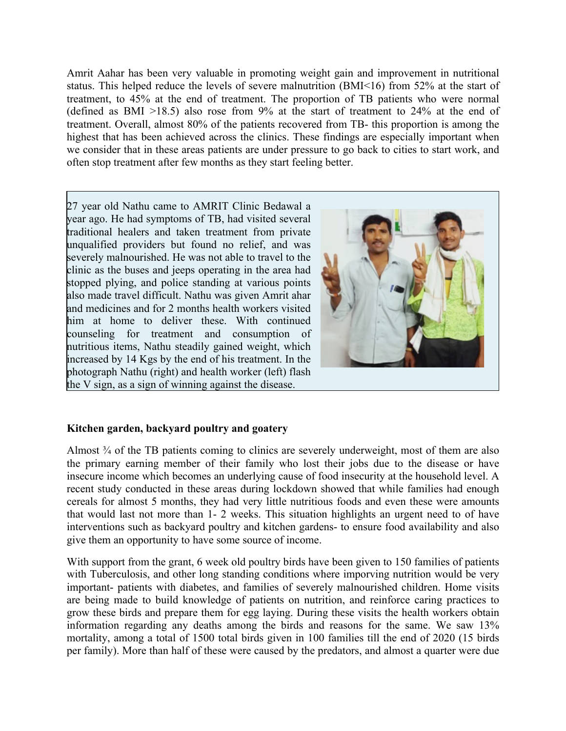Amrit Aahar has been very valuable in promoting weight gain and improvement in nutritional status. This helped reduce the levels of severe malnutrition (BMI<16) from 52% at the start of treatment, to 45% at the end of treatment. The proportion of TB patients who were normal (defined as BMI >18.5) also rose from 9% at the start of treatment to 24% at the end of treatment. Overall, almost 80% of the patients recovered from TB- this proportion is among the highest that has been achieved across the clinics. These findings are especially important when we consider that in these areas patients are under pressure to go back to cities to start work, and often stop treatment after few months as they start feeling better.

27 year old Nathu came to AMRIT Clinic Bedawal a year ago. He had symptoms of TB, had visited several traditional healers and taken treatment from private unqualified providers but found no relief, and was severely malnourished. He was not able to travel to the clinic as the buses and jeeps operating in the area had stopped plying, and police standing at various points also made travel difficult. Nathu was given Amrit ahar and medicines and for 2 months health workers visited him at home to deliver these. With continued counseling for treatment and consumption of nutritious items, Nathu steadily gained weight, which increased by 14 Kgs by the end of his treatment. In the photograph Nathu (right) and health worker (left) flash the V sign, as a sign of winning against the disease.



# **Kitchen garden, backyard poultry and goatery**

Almost <sup>3</sup>/4 of the TB patients coming to clinics are severely underweight, most of them are also the primary earning member of their family who lost their jobs due to the disease or have insecure income which becomes an underlying cause of food insecurity at the household level. A recent study conducted in these areas during lockdown showed that while families had enough cereals for almost 5 months, they had very little nutritious foods and even these were amounts that would last not more than 1- 2 weeks. This situation highlights an urgent need to of have interventions such as backyard poultry and kitchen gardens- to ensure food availability and also give them an opportunity to have some source of income.

With support from the grant, 6 week old poultry birds have been given to 150 families of patients with Tuberculosis, and other long standing conditions where imporving nutrition would be very important- patients with diabetes, and families of severely malnourished children. Home visits are being made to build knowledge of patients on nutrition, and reinforce caring practices to grow these birds and prepare them for egg laying. During these visits the health workers obtain information regarding any deaths among the birds and reasons for the same. We saw 13% mortality, among a total of 1500 total birds given in 100 families till the end of 2020 (15 birds per family). More than half of these were caused by the predators, and almost a quarter were due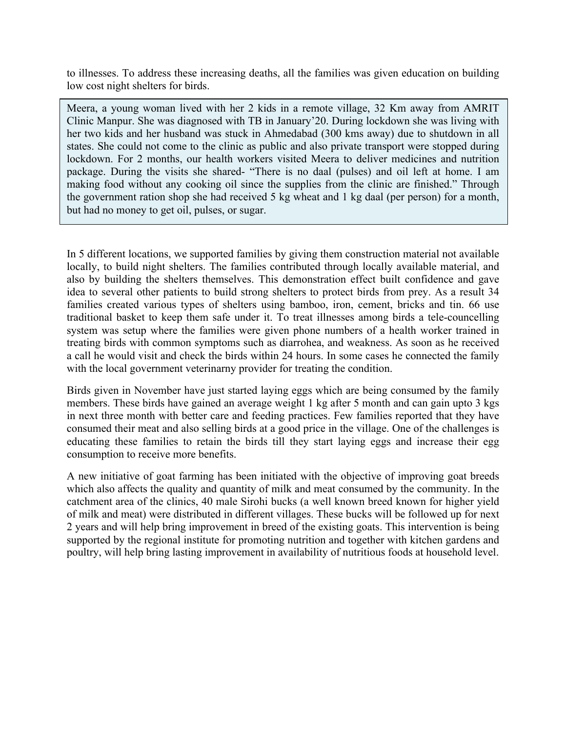to illnesses. To address these increasing deaths, all the families was given education on building low cost night shelters for birds.

Meera, a young woman lived with her 2 kids in a remote village, 32 Km away from AMRIT Clinic Manpur. She was diagnosed with TB in January'20. During lockdown she was living with her two kids and her husband was stuck in Ahmedabad (300 kms away) due to shutdown in all states. She could not come to the clinic as public and also private transport were stopped during lockdown. For 2 months, our health workers visited Meera to deliver medicines and nutrition package. During the visits she shared- "There is no daal (pulses) and oil left at home. I am making food without any cooking oil since the supplies from the clinic are finished." Through the government ration shop she had received 5 kg wheat and 1 kg daal (per person) for a month, but had no money to get oil, pulses, or sugar.

In 5 different locations, we supported families by giving them construction material not available locally, to build night shelters. The families contributed through locally available material, and also by building the shelters themselves. This demonstration effect built confidence and gave idea to several other patients to build strong shelters to protect birds from prey. As a result 34 families created various types of shelters using bamboo, iron, cement, bricks and tin. 66 use traditional basket to keep them safe under it. To treat illnesses among birds a tele-councelling system was setup where the families were given phone numbers of a health worker trained in treating birds with common symptoms such as diarrohea, and weakness. As soon as he received a call he would visit and check the birds within 24 hours. In some cases he connected the family with the local government veterinarny provider for treating the condition.

Birds given in November have just started laying eggs which are being consumed by the family members. These birds have gained an average weight 1 kg after 5 month and can gain upto 3 kgs in next three month with better care and feeding practices. Few families reported that they have consumed their meat and also selling birds at a good price in the village. One of the challenges is educating these families to retain the birds till they start laying eggs and increase their egg consumption to receive more benefits.

A new initiative of goat farming has been initiated with the objective of improving goat breeds which also affects the quality and quantity of milk and meat consumed by the community. In the catchment area of the clinics, 40 male Sirohi bucks (a well known breed known for higher yield of milk and meat) were distributed in different villages. These bucks will be followed up for next 2 years and will help bring improvement in breed of the existing goats. This intervention is being supported by the regional institute for promoting nutrition and together with kitchen gardens and poultry, will help bring lasting improvement in availability of nutritious foods at household level.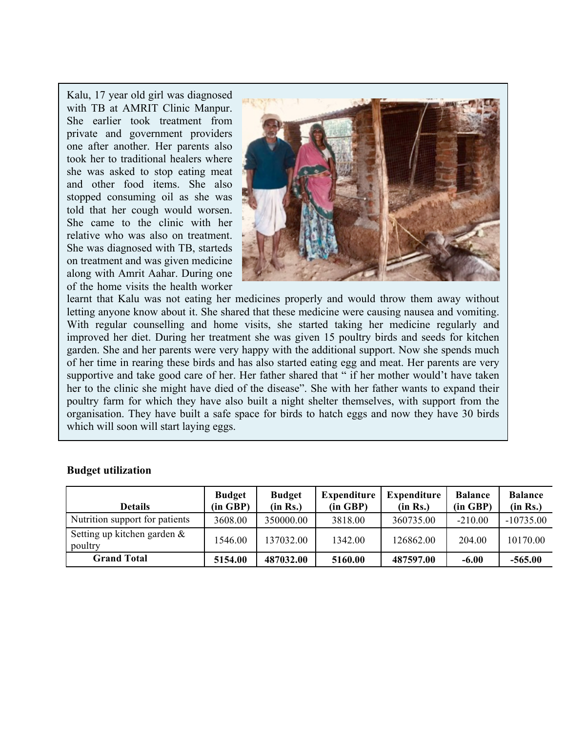Kalu, 17 year old girl was diagnosed with TB at AMRIT Clinic Manpur. She earlier took treatment from private and government providers one after another. Her parents also took her to traditional healers where she was asked to stop eating meat and other food items. She also stopped consuming oil as she was told that her cough would worsen. She came to the clinic with her relative who was also on treatment. She was diagnosed with TB, starteds on treatment and was given medicine along with Amrit Aahar. During one of the home visits the health worker



learnt that Kalu was not eating her medicines properly and would throw them away without letting anyone know about it. She shared that these medicine were causing nausea and vomiting. With regular counselling and home visits, she started taking her medicine regularly and improved her diet. During her treatment she was given 15 poultry birds and seeds for kitchen garden. She and her parents were very happy with the additional support. Now she spends much of her time in rearing these birds and has also started eating egg and meat. Her parents are very supportive and take good care of her. Her father shared that " if her mother would't have taken her to the clinic she might have died of the disease". She with her father wants to expand their poultry farm for which they have also built a night shelter themselves, with support from the organisation. They have built a safe space for birds to hatch eggs and now they have 30 birds which will soon will start laying eggs.

| <b>Details</b>                            | <b>Budget</b><br>(in GBP) | <b>Budget</b><br>(in Rs.) | <b>Expenditure</b><br>(in GBP) | <b>Expenditure</b><br>(in Rs.) | <b>Balance</b><br>(in GBP) | <b>Balance</b><br>(in Rs.) |
|-------------------------------------------|---------------------------|---------------------------|--------------------------------|--------------------------------|----------------------------|----------------------------|
| Nutrition support for patients            | 3608.00                   | 350000.00                 | 3818.00                        | 360735.00                      | $-210.00$                  | $-10735.00$                |
| Setting up kitchen garden $\&$<br>poultry | 1546.00                   | 137032.00                 | 1342.00                        | 126862.00                      | 204.00                     | 10170.00                   |
| <b>Grand Total</b>                        | 5154.00                   | 487032.00                 | 5160.00                        | 487597.00                      | $-6.00$                    | $-565.00$                  |

#### **Budget utilization**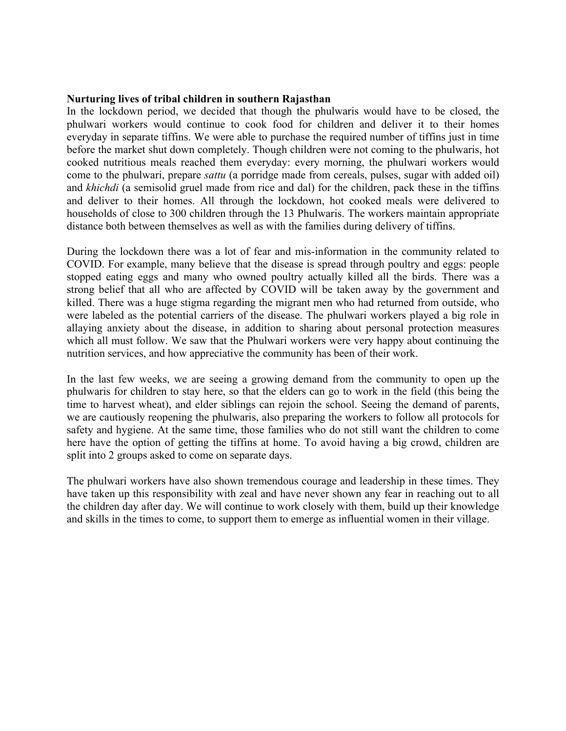#### **Nurturing lives of tribal children in southern Rajasthan**

In the lockdown period, we decided that though the phulwaris would have to be closed, the phulwari workers would continue to cook food for children and deliver it to their homes everyday in separate tiffins. We were able to purchase the required number of tiffins just in time before the market shut down completely. Though children were not coming to the phulwaris, hot cooked nutritious meals reached them everyday: every morning, the phulwari workers would come to the phulwari, prepare *sattu* (a porridge made from cereals, pulses, sugar with added oil) and *khichdi* (a semisolid gruel made from rice and dal) for the children, pack these in the tiffins and deliver to their homes. All through the lockdown, hot cooked meals were delivered to households of close to 300 children through the 13 Phulwaris. The workers maintain appropriate distance both between themselves as well as with the families during delivery of tiffins.

During the lockdown there was a lot of fear and mis-information in the community related to COVID. For example, many believe that the disease is spread through poultry and eggs: people stopped eating eggs and many who owned poultry actually killed all the birds. There was a strong belief that all who are affected by COVID will be taken away by the government and killed. There was a huge stigma regarding the migrant men who had returned from outside, who were labeled as the potential carriers of the disease. The phulwari workers played a big role in allaying anxiety about the disease, in addition to sharing about personal protection measures which all must follow. We saw that the Phulwari workers were very happy about continuing the nutrition services, and how appreciative the community has been of their work.

In the last few weeks, we are seeing a growing demand from the community to open up the phulwaris for children to stay here, so that the elders can go to work in the field (this being the time to harvest wheat), and elder siblings can rejoin the school. Seeing the demand of parents, we are cautiously reopening the phulwaris, also preparing the workers to follow all protocols for safety and hygiene. At the same time, those families who do not still want the children to come here have the option of getting the tiffins at home. To avoid having a big crowd, children are split into 2 groups asked to come on separate days.

The phulwari workers have also shown tremendous courage and leadership in these times. They have taken up this responsibility with zeal and have never shown any fear in reaching out to all the children day after day. We will continue to work closely with them, build up their knowledge and skills in the times to come, to support them to emerge as influential women in their village.